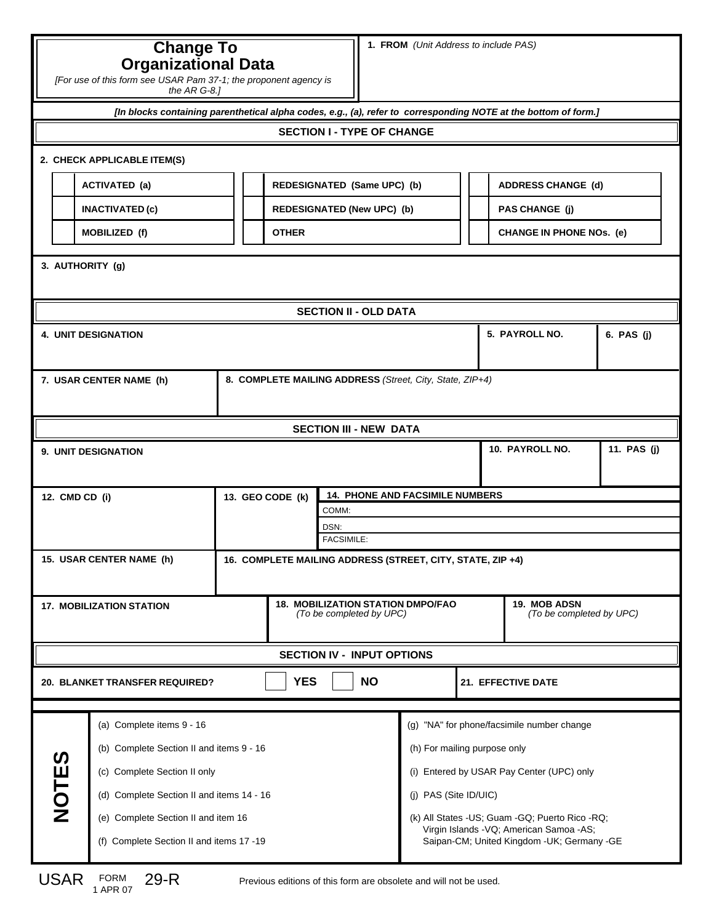## **Change To Organizational Data**

| [For use of this form see USAR Pam 37-1; the proponent agency is |
|------------------------------------------------------------------|
| the $AR$ G-8.1                                                   |

*[In blocks containing parenthetical alpha codes, e.g., (a), refer to corresponding NOTE at the bottom of form.]*

## **SECTION I - TYPE OF CHANGE**

## **2. CHECK APPLICABLE ITEM(S)**

| ACTIVATED (a)          | REDESIGNATED (Same UPC) (b)       | <b>ADDRESS CHANGE (d)</b>       |
|------------------------|-----------------------------------|---------------------------------|
| <b>INACTIVATED (c)</b> | <b>REDESIGNATED (New UPC) (b)</b> | <b>PAS CHANGE (i)</b>           |
| <b>MOBILIZED (f)</b>   | <b>OTHER</b>                      | <b>CHANGE IN PHONE NOS. (e)</b> |

| 3. AUTHORITY (g)                                                                       |                                           |                                                                      |  |                                            |                                                |                                          |                 |             |  |
|----------------------------------------------------------------------------------------|-------------------------------------------|----------------------------------------------------------------------|--|--------------------------------------------|------------------------------------------------|------------------------------------------|-----------------|-------------|--|
|                                                                                        |                                           |                                                                      |  | <b>SECTION II - OLD DATA</b>               |                                                |                                          |                 |             |  |
| <b>4. UNIT DESIGNATION</b>                                                             |                                           |                                                                      |  |                                            |                                                | 5. PAYROLL NO.<br>6. PAS (j)             |                 |             |  |
|                                                                                        |                                           |                                                                      |  |                                            |                                                |                                          |                 |             |  |
| 8. COMPLETE MAILING ADDRESS (Street, City, State, ZIP+4)<br>7. USAR CENTER NAME (h)    |                                           |                                                                      |  |                                            |                                                |                                          |                 |             |  |
|                                                                                        |                                           |                                                                      |  |                                            |                                                |                                          |                 |             |  |
|                                                                                        |                                           |                                                                      |  | <b>SECTION III - NEW DATA</b>              |                                                |                                          |                 |             |  |
|                                                                                        | 9. UNIT DESIGNATION                       |                                                                      |  |                                            |                                                |                                          | 10. PAYROLL NO. | 11. PAS (j) |  |
| 12. CMD CD (i)                                                                         |                                           | 13. GEO CODE (k)                                                     |  |                                            | <b>14. PHONE AND FACSIMILE NUMBERS</b>         |                                          |                 |             |  |
|                                                                                        |                                           | COMM:                                                                |  |                                            |                                                |                                          |                 |             |  |
| DSN:                                                                                   |                                           |                                                                      |  |                                            |                                                |                                          |                 |             |  |
| <b>FACSIMILE:</b>                                                                      |                                           |                                                                      |  |                                            |                                                |                                          |                 |             |  |
| 15. USAR CENTER NAME (h)<br>16. COMPLETE MAILING ADDRESS (STREET, CITY, STATE, ZIP +4) |                                           |                                                                      |  |                                            |                                                |                                          |                 |             |  |
| <b>17. MOBILIZATION STATION</b>                                                        |                                           | <b>18. MOBILIZATION STATION DMPO/FAO</b><br>(To be completed by UPC) |  |                                            |                                                | 19. MOB ADSN<br>(To be completed by UPC) |                 |             |  |
|                                                                                        |                                           |                                                                      |  | <b>SECTION IV - INPUT OPTIONS</b>          |                                                |                                          |                 |             |  |
| <b>NO</b><br><b>YES</b><br>20. BLANKET TRANSFER REQUIRED?                              |                                           |                                                                      |  |                                            | 21. EFFECTIVE DATE                             |                                          |                 |             |  |
|                                                                                        |                                           |                                                                      |  |                                            |                                                |                                          |                 |             |  |
|                                                                                        | (a) Complete items 9 - 16                 |                                                                      |  | (g) "NA" for phone/facsimile number change |                                                |                                          |                 |             |  |
|                                                                                        | (b) Complete Section II and items 9 - 16  |                                                                      |  |                                            | (h) For mailing purpose only                   |                                          |                 |             |  |
|                                                                                        | (c) Complete Section II only              |                                                                      |  |                                            | (i) Entered by USAR Pay Center (UPC) only      |                                          |                 |             |  |
| <b>NOTES</b>                                                                           | (d) Complete Section II and items 14 - 16 |                                                                      |  |                                            | (j) PAS (Site ID/UIC)                          |                                          |                 |             |  |
|                                                                                        | (e) Complete Section II and item 16       |                                                                      |  |                                            | (k) All States -US; Guam -GQ; Puerto Rico -RQ; |                                          |                 |             |  |

29-R

(f) Complete Section II and items 17 -19